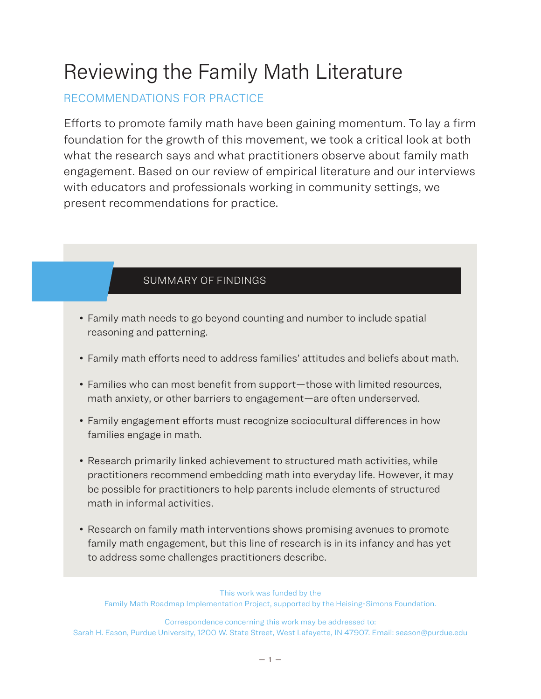# Reviewing the Family Math Literature

# RECOMMENDATIONS FOR PRACTICE

Efforts to promote family math have been gaining momentum. To lay a firm foundation for the growth of this movement, we took a critical look at both what the research says and what practitioners observe about family math engagement. Based on our review of empirical literature and our interviews with educators and professionals working in community settings, we present recommendations for practice.

## SUMMARY OF FINDINGS

- Family math needs to go beyond counting and number to include spatial reasoning and patterning.
- Family math efforts need to address families' attitudes and beliefs about math.
- Families who can most benefit from support—those with limited resources, math anxiety, or other barriers to engagement—are often underserved.
- Family engagement efforts must recognize sociocultural differences in how families engage in math.
- Research primarily linked achievement to structured math activities, while practitioners recommend embedding math into everyday life. However, it may be possible for practitioners to help parents include elements of structured math in informal activities.
- Research on family math interventions shows promising avenues to promote family math engagement, but this line of research is in its infancy and has yet to address some challenges practitioners describe.

This work was funded by the Family Math Roadmap Implementation Project, supported by the Heising-Simons Foundation.

Correspondence concerning this work may be addressed to: Sarah H. Eason, Purdue University, 1200 W. State Street, West Lafayette, IN 47907. Email: season@purdue.edu